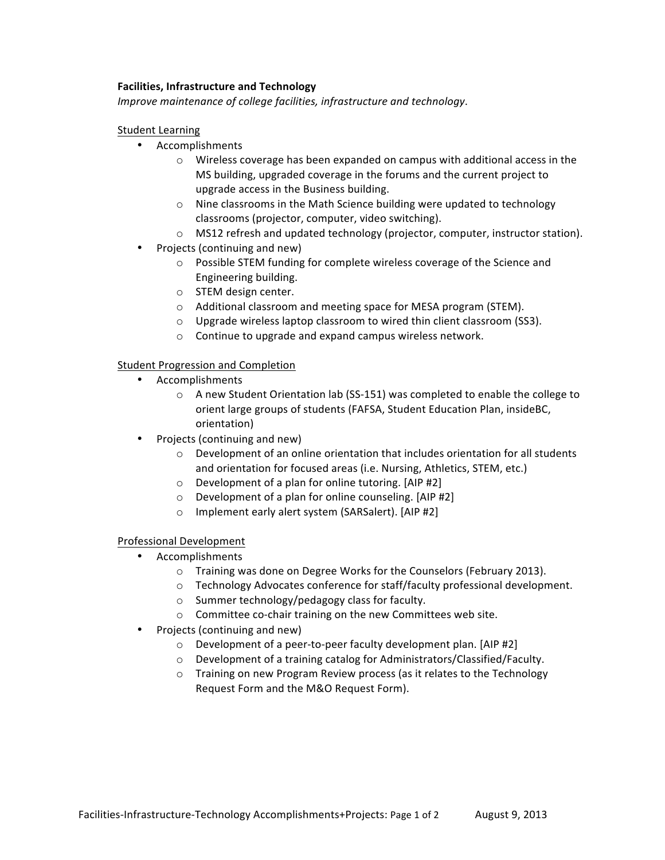# **Facilities, Infrastructure and Technology**

*Improve maintenance of college facilities, infrastructure and technology.* 

#### Student Learning

- Accomplishments
	- $\circ$  Wireless coverage has been expanded on campus with additional access in the MS building, upgraded coverage in the forums and the current project to upgrade access in the Business building.
	- $\circ$  Nine classrooms in the Math Science building were updated to technology classrooms (projector, computer, video switching).
	- o MS12 refresh and updated technology (projector, computer, instructor station).
- Projects (continuing and new)
	- o Possible STEM funding for complete wireless coverage of the Science and Engineering building.
	- o STEM design center.
	- $\circ$  Additional classroom and meeting space for MESA program (STEM).
	- $\circ$  Upgrade wireless laptop classroom to wired thin client classroom (SS3).
	- $\circ$  Continue to upgrade and expand campus wireless network.

## Student Progression and Completion

- Accomplishments
	- $\circ$  A new Student Orientation lab (SS-151) was completed to enable the college to orient large groups of students (FAFSA, Student Education Plan, insideBC, orientation)
- Projects (continuing and new)
	- $\circ$  Development of an online orientation that includes orientation for all students and orientation for focused areas (i.e. Nursing, Athletics, STEM, etc.)
	- $\circ$  Development of a plan for online tutoring. [AIP #2]
	- $\circ$  Development of a plan for online counseling. [AIP #2]
	- $\circ$  Implement early alert system (SARSalert). [AIP #2]

## Professional Development

- Accomplishments
	- o Training was done on Degree Works for the Counselors (February 2013).
	- o Technology Advocates conference for staff/faculty professional development.
	- $\circ$  Summer technology/pedagogy class for faculty.
	- $\circ$  Committee co-chair training on the new Committees web site.
- Projects (continuing and new)
	- $\circ$  Development of a peer-to-peer faculty development plan. [AIP #2]
	- $\circ$  Development of a training catalog for Administrators/Classified/Faculty.
	- o Training on new Program Review process (as it relates to the Technology Request Form and the M&O Request Form).